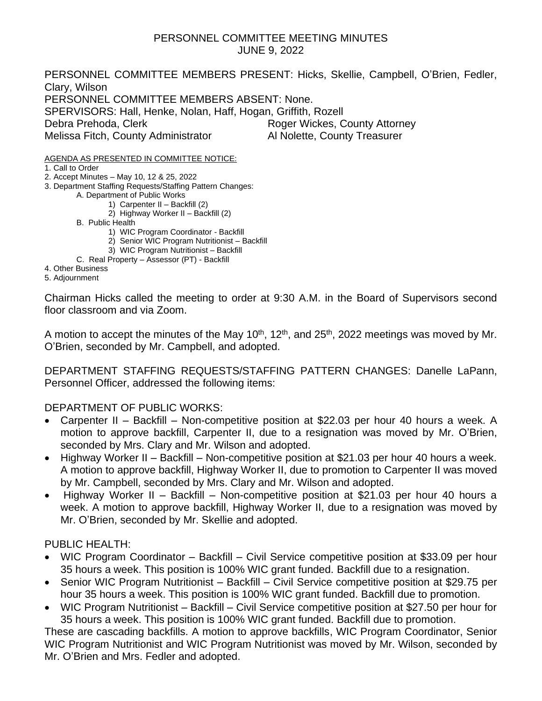#### PERSONNEL COMMITTEE MEETING MINUTES JUNE 9, 2022

PERSONNEL COMMITTEE MEMBERS PRESENT: Hicks, Skellie, Campbell, O'Brien, Fedler, Clary, Wilson PERSONNEL COMMITTEE MEMBERS ABSENT: None. SPERVISORS: Hall, Henke, Nolan, Haff, Hogan, Griffith, Rozell Debra Prehoda, Clerk **Roger Wickes, County Attorney** Melissa Fitch, County Administrator **Al Nolette, County Treasurer** 

AGENDA AS PRESENTED IN COMMITTEE NOTICE:

1. Call to Order

- 2. Accept Minutes May 10, 12 & 25, 2022
- 3. Department Staffing Requests/Staffing Pattern Changes:

A. Department of Public Works

- 1) Carpenter II Backfill (2)
- 2) Highway Worker II Backfill (2)
- B. Public Health
	- 1) WIC Program Coordinator Backfill
	- 2) Senior WIC Program Nutritionist Backfill
	- 3) WIC Program Nutritionist Backfill
- C. Real Property Assessor (PT) Backfill

4. Other Business

5. Adjournment

Chairman Hicks called the meeting to order at 9:30 A.M. in the Board of Supervisors second floor classroom and via Zoom.

A motion to accept the minutes of the May 10<sup>th</sup>, 12<sup>th</sup>, and 25<sup>th</sup>, 2022 meetings was moved by Mr. O'Brien, seconded by Mr. Campbell, and adopted.

DEPARTMENT STAFFING REQUESTS/STAFFING PATTERN CHANGES: Danelle LaPann, Personnel Officer, addressed the following items:

#### DEPARTMENT OF PUBLIC WORKS:

- Carpenter II Backfill Non-competitive position at \$22.03 per hour 40 hours a week. A motion to approve backfill, Carpenter II, due to a resignation was moved by Mr. O'Brien, seconded by Mrs. Clary and Mr. Wilson and adopted.
- Highway Worker II Backfill Non-competitive position at \$21.03 per hour 40 hours a week. A motion to approve backfill, Highway Worker II, due to promotion to Carpenter II was moved by Mr. Campbell, seconded by Mrs. Clary and Mr. Wilson and adopted.
- Highway Worker II Backfill Non-competitive position at \$21.03 per hour 40 hours a week. A motion to approve backfill, Highway Worker II, due to a resignation was moved by Mr. O'Brien, seconded by Mr. Skellie and adopted.

#### PUBLIC HEALTH:

- WIC Program Coordinator Backfill Civil Service competitive position at \$33.09 per hour 35 hours a week. This position is 100% WIC grant funded. Backfill due to a resignation.
- Senior WIC Program Nutritionist Backfill Civil Service competitive position at \$29.75 per hour 35 hours a week. This position is 100% WIC grant funded. Backfill due to promotion.
- WIC Program Nutritionist Backfill Civil Service competitive position at \$27.50 per hour for 35 hours a week. This position is 100% WIC grant funded. Backfill due to promotion.

These are cascading backfills. A motion to approve backfills, WIC Program Coordinator, Senior WIC Program Nutritionist and WIC Program Nutritionist was moved by Mr. Wilson, seconded by Mr. O'Brien and Mrs. Fedler and adopted.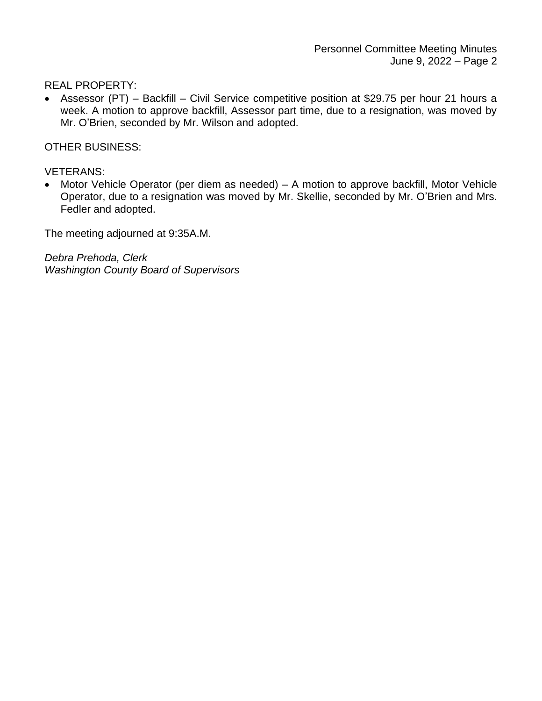REAL PROPERTY:

• Assessor (PT) – Backfill – Civil Service competitive position at \$29.75 per hour 21 hours a week. A motion to approve backfill, Assessor part time, due to a resignation, was moved by Mr. O'Brien, seconded by Mr. Wilson and adopted.

OTHER BUSINESS:

VETERANS:

• Motor Vehicle Operator (per diem as needed) – A motion to approve backfill, Motor Vehicle Operator, due to a resignation was moved by Mr. Skellie, seconded by Mr. O'Brien and Mrs. Fedler and adopted.

The meeting adjourned at 9:35A.M.

*Debra Prehoda, Clerk Washington County Board of Supervisors*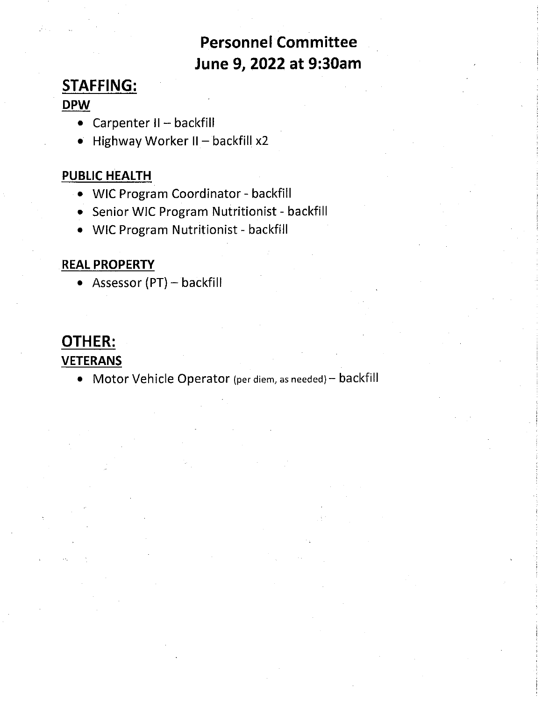### **Personnel Committee** June 9, 2022 at 9:30am

### **STAFFING:**

#### **DPW**

- Carpenter II backfill
- · Highway Worker II backfill x2

#### **PUBLIC HEALTH**

- WIC Program Coordinator backfill
- Senior WIC Program Nutritionist backfill
- WIC Program Nutritionist backfill

#### **REAL PROPERTY**

• Assessor  $(PT)$  – backfill

### OTHER: **VETERANS**

• Motor Vehicle Operator (per diem, as needed) - backfill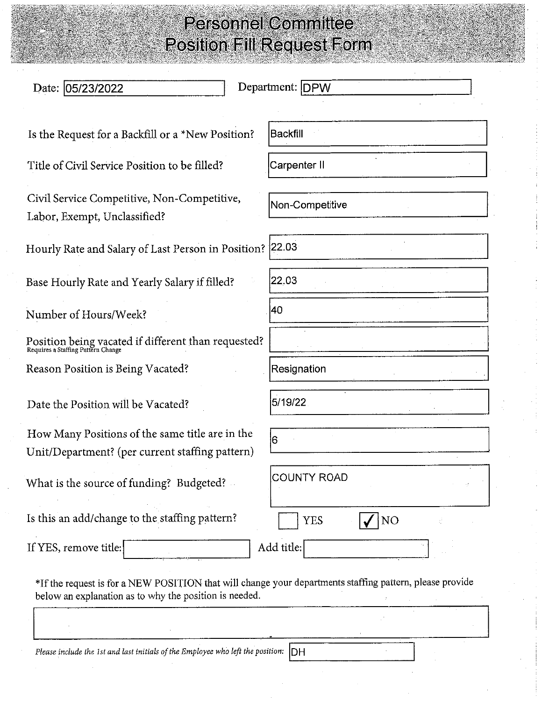| Date: 05/23/2022                                                                                                                                                   | Department: DPW    |
|--------------------------------------------------------------------------------------------------------------------------------------------------------------------|--------------------|
|                                                                                                                                                                    |                    |
| Is the Request for a Backfill or a *New Position?                                                                                                                  | Backfill           |
| Title of Civil Service Position to be filled?                                                                                                                      | Carpenter II       |
| Civil Service Competitive, Non-Competitive,<br>Labor, Exempt, Unclassified?                                                                                        | Non-Competitive    |
| Hourly Rate and Salary of Last Person in Position? 22.03                                                                                                           |                    |
| Base Hourly Rate and Yearly Salary if filled?                                                                                                                      | 22.03              |
| Number of Hours/Week?                                                                                                                                              | 40                 |
| Position being vacated if different than requested?<br>Requires a Staffing Pattern Change                                                                          |                    |
| Reason Position is Being Vacated?                                                                                                                                  | Resignation        |
| Date the Position will be Vacated?                                                                                                                                 | 5/19/22            |
| How Many Positions of the same title are in the<br>Unit/Department? (per current staffing pattern)                                                                 | 6                  |
| What is the source of funding? Budgeted?                                                                                                                           | <b>COUNTY ROAD</b> |
| Is this an add/change to the staffing pattern?                                                                                                                     | <b>YES</b><br>NO   |
| If YES, remove title:                                                                                                                                              | Add title:         |
| *If the request is for a NEW POSITION that will change your departments staffing pattern, please provide<br>below an explanation as to why the position is needed. |                    |

Please include the 1st and last initials of the Employee who left the position:  $\vert$ DH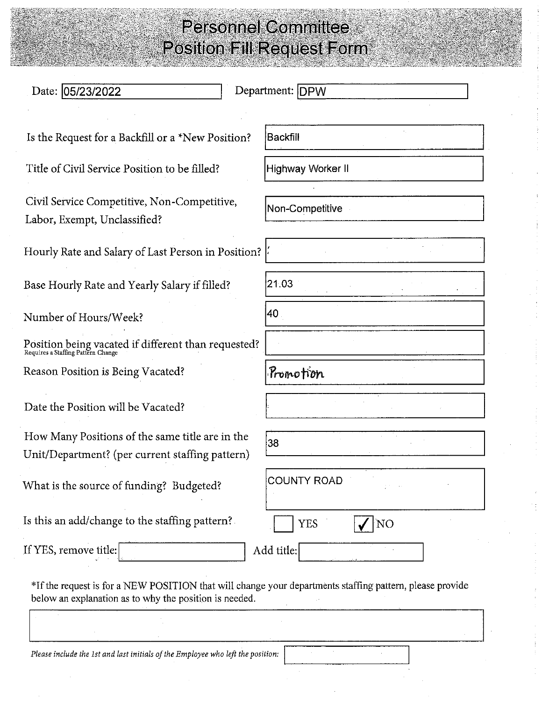| Date: 05/23/2022                                                                                         | Department: DPW    |
|----------------------------------------------------------------------------------------------------------|--------------------|
| Is the Request for a Backfill or a *New Position?                                                        | Backfill           |
| Title of Civil Service Position to be filled?                                                            | Highway Worker II  |
| Civil Service Competitive, Non-Competitive,<br>Labor, Exempt, Unclassified?                              | Non-Competitive    |
| Hourly Rate and Salary of Last Person in Position?                                                       |                    |
| Base Hourly Rate and Yearly Salary if filled?                                                            | 21.03              |
| Number of Hours/Week?                                                                                    | 40                 |
| Position being vacated if different than requested?<br>Requires a Staffing Pattern Change                |                    |
| Reason Position is Being Vacated?                                                                        | Pronotion          |
| Date the Position will be Vacated?                                                                       |                    |
| How Many Positions of the same title are in the<br>Unit/Department? (per current staffing pattern)       | 38                 |
| What is the source of funding? Budgeted?                                                                 | <b>COUNTY ROAD</b> |
| Is this an add/change to the staffing pattern?                                                           | <b>YES</b><br>NO   |
| If YES, remove title:                                                                                    | Add title:         |
| *If the request is for a NEW POSITION that will change your departments staffing pattern, please provide |                    |

below an explanation as to why the position is needed.

Please include the 1st and last initials of the Employee who left the position: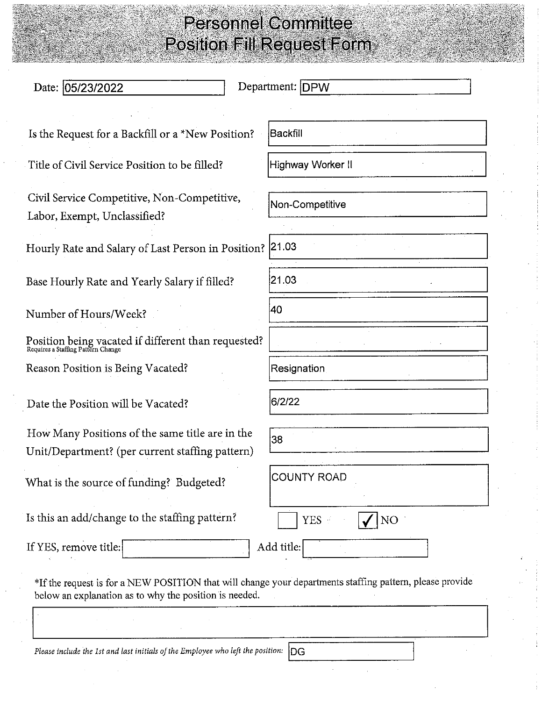| Date: 05/23/2022                                                                                                                                                   | Department: DPW    |
|--------------------------------------------------------------------------------------------------------------------------------------------------------------------|--------------------|
| Is the Request for a Backfill or a *New Position?                                                                                                                  | Backfill           |
| Title of Civil Service Position to be filled?                                                                                                                      | Highway Worker II  |
| Civil Service Competitive, Non-Competitive,<br>Labor, Exempt, Unclassified?                                                                                        | Non-Competitive    |
| Hourly Rate and Salary of Last Person in Position? 21.03                                                                                                           |                    |
| Base Hourly Rate and Yearly Salary if filled?                                                                                                                      | 21.03              |
| Number of Hours/Week?                                                                                                                                              | 40                 |
| Position being vacated if different than requested?<br>Requires a Staffing Pattern Change                                                                          |                    |
| Reason Position is Being Vacated?                                                                                                                                  | Resignation        |
| Date the Position will be Vacated?                                                                                                                                 | 6/2/22             |
| How Many Positions of the same title are in the<br>Unit/Department? (per current staffing pattern)                                                                 | 38                 |
| What is the source of funding? Budgeted?                                                                                                                           | <b>COUNTY ROAD</b> |
| Is this an add/change to the staffing pattern?                                                                                                                     | NO<br><b>YES</b>   |
| If YES, remove title:                                                                                                                                              | Add title:         |
| *If the request is for a NEW POSITION that will change your departments staffing pattern, please provide<br>below an explanation as to why the position is needed. |                    |
|                                                                                                                                                                    |                    |

Please include the 1st and last initials of the Employee who left the position:  $\vert$ DG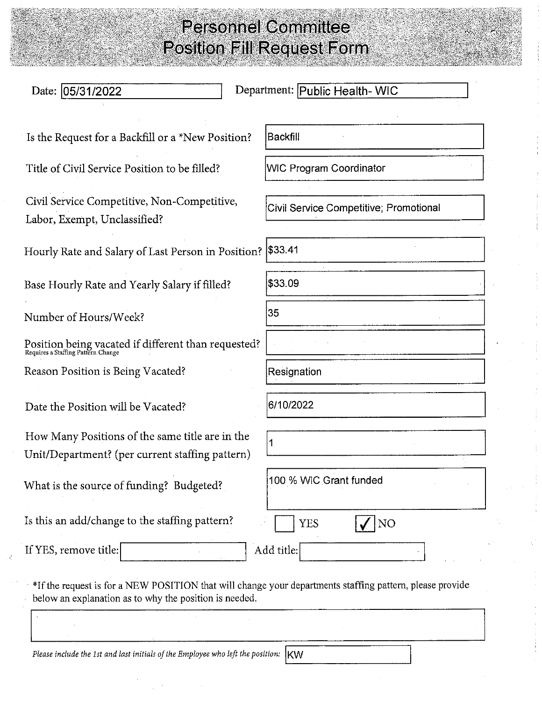| Date: 05/31/2022                                                                                         | Department: Public Health-WIC          |
|----------------------------------------------------------------------------------------------------------|----------------------------------------|
| Is the Request for a Backfill or a *New Position?                                                        | Backfill                               |
| Title of Civil Service Position to be filled?                                                            | <b>WIC Program Coordinator</b>         |
| Civil Service Competitive, Non-Competitive,<br>Labor, Exempt, Unclassified?                              | Civil Service Competitive; Promotional |
| Hourly Rate and Salary of Last Person in Position?   \$33.41                                             |                                        |
| Base Hourly Rate and Yearly Salary if filled?                                                            | \$33.09                                |
| Number of Hours/Week?                                                                                    | 35                                     |
| Position being vacated if different than requested?<br>Requires a Staffing Pattern Change                |                                        |
| Reason Position is Being Vacated?                                                                        | Resignation                            |
| Date the Position will be Vacated?                                                                       | 6/10/2022                              |
| How Many Positions of the same title are in the<br>Unit/Department? (per current staffing pattern)       | 1                                      |
| What is the source of funding? Budgeted?                                                                 | 100 % WIC Grant funded                 |
| Is this an add/change to the staffing pattern?                                                           | <b>YES</b><br>NO <sub>1</sub>          |
| If YES, remove title:                                                                                    | Add title:                             |
| *If the request is for a NEW POSITION that will change your departments staffing pattern, please provide |                                        |

below an explanation as to why the position is needed.

Please include the 1st and last initials of the Employee who left the position:  $|$ KW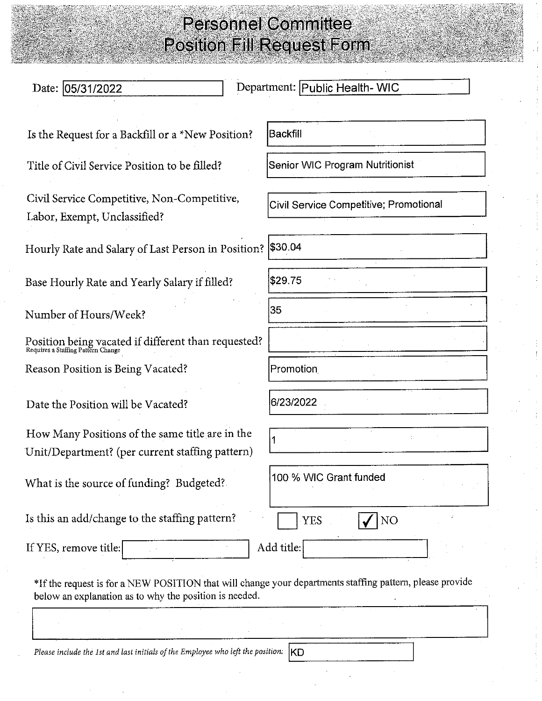| Date: 05/31/2022                                                                                                                                                   | Department: Public Health- WIC         |
|--------------------------------------------------------------------------------------------------------------------------------------------------------------------|----------------------------------------|
|                                                                                                                                                                    |                                        |
| Is the Request for a Backfill or a *New Position?                                                                                                                  | Backfill                               |
| Title of Civil Service Position to be filled?                                                                                                                      | Senior WIC Program Nutritionist        |
| Civil Service Competitive, Non-Competitive,<br>Labor, Exempt, Unclassified?                                                                                        | Civil Service Competitive; Promotional |
| Hourly Rate and Salary of Last Person in Position? \$30.04                                                                                                         |                                        |
| Base Hourly Rate and Yearly Salary if filled?                                                                                                                      | \$29.75                                |
| Number of Hours/Week?                                                                                                                                              | 35                                     |
| Position being vacated if different than requested?<br>Requires a Staffing Pattern Change                                                                          |                                        |
| Reason Position is Being Vacated?                                                                                                                                  | Promotion                              |
| Date the Position will be Vacated?                                                                                                                                 | 6/23/2022                              |
| How Many Positions of the same title are in the<br>Unit/Department? (per current staffing pattern)                                                                 | 1                                      |
| What is the source of funding? Budgeted?                                                                                                                           | 100 % WIC Grant funded                 |
| Is this an add/change to the staffing pattern?                                                                                                                     | <b>YES</b><br>NO                       |
| If YES, remove title:                                                                                                                                              | Add title:                             |
| *If the request is for a NEW POSITION that will change your departments staffing pattern, please provide<br>below an explanation as to why the position is needed. |                                        |

Please include the 1st and last initials of the Employee who left the position:

KD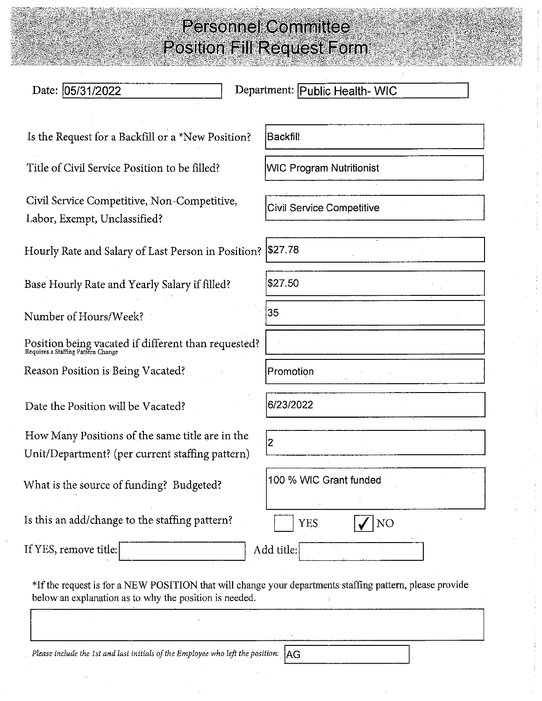| Date: 05/31/2022                                                                                                                                                   | Department: Public Health- WIC   |
|--------------------------------------------------------------------------------------------------------------------------------------------------------------------|----------------------------------|
| Is the Request for a Backfill or a *New Position?                                                                                                                  | Backfill                         |
| Title of Civil Service Position to be filled?                                                                                                                      | <b>WIC Program Nutritionist</b>  |
| Civil Service Competitive, Non-Competitive,<br>Labor, Exempt, Unclassified?                                                                                        | <b>Civil Service Competitive</b> |
| Hourly Rate and Salary of Last Person in Position?                                                                                                                 | \$27.78                          |
| Base Hourly Rate and Yearly Salary if filled?                                                                                                                      | \$27.50                          |
| Number of Hours/Week?                                                                                                                                              | 35                               |
| Position being vacated if different than requested?<br>Requires a Staffing Pattern Change                                                                          |                                  |
| Reason Position is Being Vacated?                                                                                                                                  | Promotion                        |
| Date the Position will be Vacated?                                                                                                                                 | 6/23/2022                        |
| How Many Positions of the same title are in the<br>Unit/Department? (per current staffing pattern)                                                                 | 2                                |
| What is the source of funding? Budgeted?                                                                                                                           | 100 % WIC Grant funded           |
| Is this an add/change to the staffing pattern?                                                                                                                     | <b>YES</b><br>NO                 |
| If YES, remove title:                                                                                                                                              | Add title:                       |
| *If the request is for a NEW POSITION that will change your departments staffing pattern, please provide<br>below an explanation as to why the position is needed. |                                  |

Please include the 1st and last initials of the Employee who left the position:  $|AG|$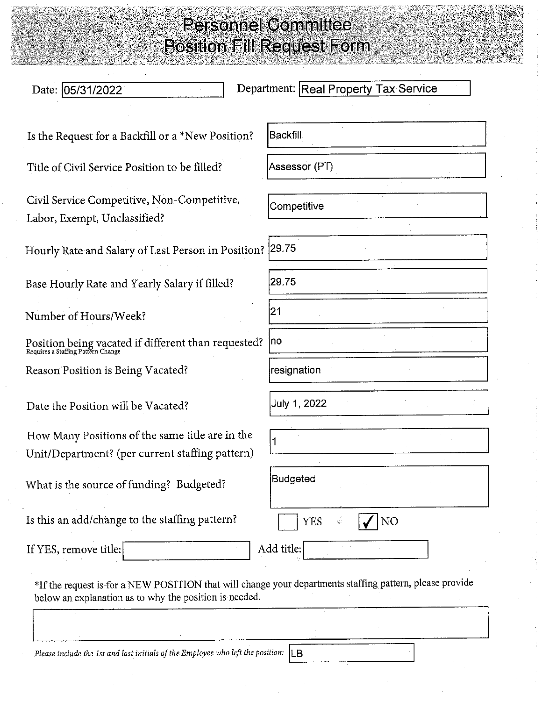| Date: 05/31/2022                                                                                   | Department: Real Property Tax Service |
|----------------------------------------------------------------------------------------------------|---------------------------------------|
| Is the Request for a Backfill or a *New Position?                                                  | lBackfill                             |
| Title of Civil Service Position to be filled?                                                      | Assessor (PT)                         |
| Civil Service Competitive, Non-Competitive,<br>Labor, Exempt, Unclassified?                        | Competitive                           |
| Hourly Rate and Salary of Last Person in Position? 29.75                                           |                                       |
| Base Hourly Rate and Yearly Salary if filled?                                                      | 29.75                                 |
| Number of Hours/Week?                                                                              | 21                                    |
| Position being vacated if different than requested?<br>Requires a Staffing Pattern Change          | no                                    |
| Reason Position is Being Vacated?                                                                  | resignation                           |
| Date the Position will be Vacated?                                                                 | July 1, 2022                          |
| How Many Positions of the same title are in the<br>Unit/Department? (per current staffing pattern) |                                       |
| What is the source of funding? Budgeted?                                                           | Budgeted                              |
| Is this an add/change to the staffing pattern?                                                     | <b>YES</b><br>NO                      |
| If YES, remove title:                                                                              | Add title:                            |

Please include the 1st and last initials of the Employee who left the position:  $\begin{bmatrix} \Box \end{bmatrix}$